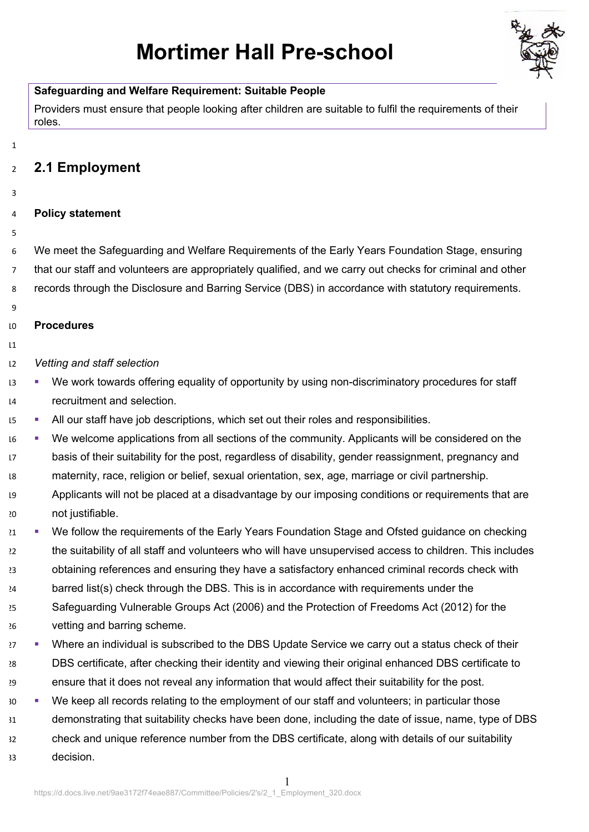# **Mortimer Hall Pre-school**



#### **Safeguarding and Welfare Requirement: Suitable People**

Providers must ensure that people looking after children are suitable to fulfil the requirements of their roles.

## **2.1 Employment**

- 
- **Policy statement**
- 

 We meet the Safeguarding and Welfare Requirements of the Early Years Foundation Stage, ensuring that our staff and volunteers are appropriately qualified, and we carry out checks for criminal and other records through the Disclosure and Barring Service (DBS) in accordance with statutory requirements.

#### **Procedures**

## *Vetting and staff selection*

- § We work towards offering equality of opportunity by using non-discriminatory procedures for staff recruitment and selection.
- <sup>15</sup> All our staff have job descriptions, which set out their roles and responsibilities.
- § We welcome applications from all sections of the community. Applicants will be considered on the basis of their suitability for the post, regardless of disability, gender reassignment, pregnancy and maternity, race, religion or belief, sexual orientation, sex, age, marriage or civil partnership.
- Applicants will not be placed at a disadvantage by our imposing conditions or requirements that are not justifiable.
- <sup>21</sup> We follow the requirements of the Early Years Foundation Stage and Ofsted guidance on checking the suitability of all staff and volunteers who will have unsupervised access to children. This includes obtaining references and ensuring they have a satisfactory enhanced criminal records check with barred list(s) check through the DBS. This is in accordance with requirements under the
- Safeguarding Vulnerable Groups Act (2006) and the Protection of Freedoms Act (2012) for the vetting and barring scheme.
- <sup>27</sup> Where an individual is subscribed to the DBS Update Service we carry out a status check of their DBS certificate, after checking their identity and viewing their original enhanced DBS certificate to ensure that it does not reveal any information that would affect their suitability for the post.
- § We keep all records relating to the employment of our staff and volunteers; in particular those demonstrating that suitability checks have been done, including the date of issue, name, type of DBS check and unique reference number from the DBS certificate, along with details of our suitability decision.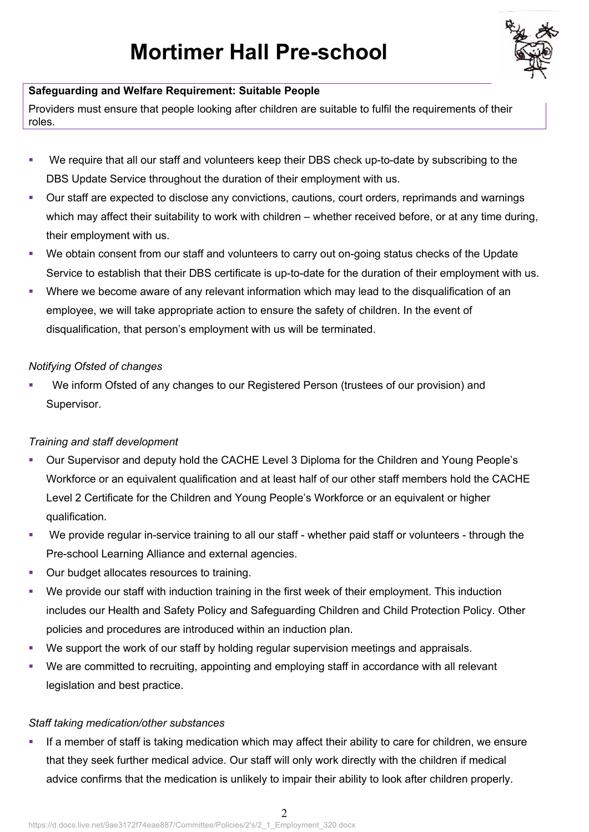

## **Safeguarding and Welfare Requirement: Suitable People**

Providers must ensure that people looking after children are suitable to fulfil the requirements of their roles.

- We require that all our staff and volunteers keep their DBS check up-to-date by subscribing to the DBS Update Service throughout the duration of their employment with us.
- Our staff are expected to disclose any convictions, cautions, court orders, reprimands and warnings which may affect their suitability to work with children – whether received before, or at any time during, their employment with us.
- We obtain consent from our staff and volunteers to carry out on-going status checks of the Update Service to establish that their DBS certificate is up-to-date for the duration of their employment with us.
- Where we become aware of any relevant information which may lead to the disqualification of an employee, we will take appropriate action to ensure the safety of children. In the event of disqualification, that person's employment with us will be terminated.

## *Notifying Ofsted of changes*

We inform Ofsted of any changes to our Registered Person (trustees of our provision) and Supervisor.

## *Training and staff development*

- § Our Supervisor and deputy hold the CACHE Level 3 Diploma for the Children and Young People's Workforce or an equivalent qualification and at least half of our other staff members hold the CACHE Level 2 Certificate for the Children and Young People's Workforce or an equivalent or higher qualification.
- We provide regular in-service training to all our staff whether paid staff or volunteers through the Pre-school Learning Alliance and external agencies.
- Our budget allocates resources to training.
- We provide our staff with induction training in the first week of their employment. This induction includes our Health and Safety Policy and Safeguarding Children and Child Protection Policy. Other policies and procedures are introduced within an induction plan.
- § We support the work of our staff by holding regular supervision meetings and appraisals.
- § We are committed to recruiting, appointing and employing staff in accordance with all relevant legislation and best practice.

## *Staff taking medication/other substances*

• If a member of staff is taking medication which may affect their ability to care for children, we ensure that they seek further medical advice. Our staff will only work directly with the children if medical advice confirms that the medication is unlikely to impair their ability to look after children properly.